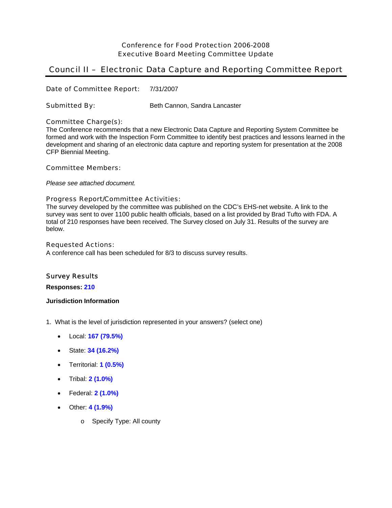# Conference for Food Protection 2006-2008 Executive Board Meeting Committee Update

# Council II – Electronic Data Capture and Reporting Committee Report

Date of Committee Report: 7/31/2007

# Submitted By: Beth Cannon, Sandra Lancaster

# Committee Charge(s):

The Conference recommends that a new Electronic Data Capture and Reporting System Committee be formed and work with the Inspection Form Committee to identify best practices and lessons learned in the development and sharing of an electronic data capture and reporting system for presentation at the 2008 CFP Biennial Meeting.

### Committee Members:

*Please see attached document.*

# Progress Report/Committee Activities:

The survey developed by the committee was published on the CDC's EHS-net website. A link to the survey was sent to over 1100 public health officials, based on a list provided by Brad Tufto with FDA. A total of 210 responses have been received. The Survey closed on July 31. Results of the survey are below.

### Requested Actions:

A conference call has been scheduled for 8/3 to discuss survey results.

# Survey Results

**Responses: 210**

## **Jurisdiction Information**

- 1. What is the level of jurisdiction represented in your answers? (select one)
	- Local: **167 (79.5%)**
	- State: **34 (16.2%)**
	- Territorial: **1 (0.5%)**
	- Tribal: **2 (1.0%)**
	- Federal: **2 (1.0%)**
	- Other: **4 (1.9%)**
		- o Specify Type: All county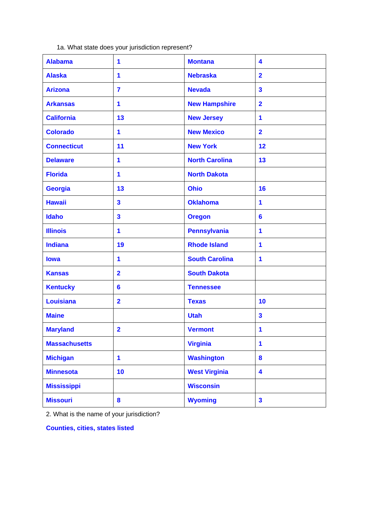1a. What state does your jurisdiction represent?

| <b>Alabama</b>       | 1                       | <b>Montana</b>        | 4                       |
|----------------------|-------------------------|-----------------------|-------------------------|
| <b>Alaska</b>        | 1                       | <b>Nebraska</b>       | $\overline{2}$          |
| <b>Arizona</b>       | $\overline{\mathbf{r}}$ | <b>Nevada</b>         | $\overline{\mathbf{3}}$ |
| <b>Arkansas</b>      | 1                       | <b>New Hampshire</b>  | $\overline{2}$          |
| <b>California</b>    | 13                      | <b>New Jersey</b>     | 1                       |
| <b>Colorado</b>      | 1                       | <b>New Mexico</b>     | $\overline{2}$          |
| <b>Connecticut</b>   | 11                      | <b>New York</b>       | 12                      |
| <b>Delaware</b>      | 1                       | <b>North Carolina</b> | 13                      |
| <b>Florida</b>       | 1                       | <b>North Dakota</b>   |                         |
| <b>Georgia</b>       | 13                      | <b>Ohio</b>           | 16                      |
| <b>Hawaii</b>        | $\overline{\mathbf{3}}$ | <b>Oklahoma</b>       | 1                       |
| <b>Idaho</b>         | $\mathbf{3}$            | <b>Oregon</b>         | 6                       |
| <b>Illinois</b>      | 1                       | <b>Pennsylvania</b>   | 1                       |
| <b>Indiana</b>       | 19                      | <b>Rhode Island</b>   | 1                       |
| lowa                 | 1                       | <b>South Carolina</b> | 1                       |
| <b>Kansas</b>        | $\overline{2}$          | <b>South Dakota</b>   |                         |
| <b>Kentucky</b>      | 6                       | <b>Tennessee</b>      |                         |
| <b>Louisiana</b>     | $\overline{2}$          | <b>Texas</b>          | 10                      |
| <b>Maine</b>         |                         | <b>Utah</b>           | $\overline{\mathbf{3}}$ |
| <b>Maryland</b>      | $\overline{\mathbf{2}}$ | <b>Vermont</b>        | 1                       |
| <b>Massachusetts</b> |                         | <b>Virginia</b>       | 1                       |
| <b>Michigan</b>      | $\mathbf{1}$            | <b>Washington</b>     | $\boldsymbol{8}$        |
| <b>Minnesota</b>     | 10                      | <b>West Virginia</b>  | 4                       |
| <b>Mississippi</b>   |                         | <b>Wisconsin</b>      |                         |
| <b>Missouri</b>      | $\boldsymbol{8}$        | <b>Wyoming</b>        | $\overline{\mathbf{3}}$ |

2. What is the name of your jurisdiction?

**Counties, cities, states listed**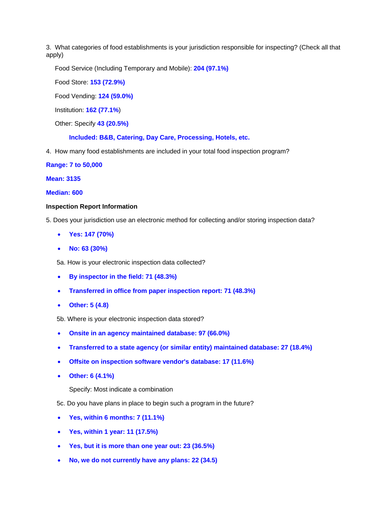3. What categories of food establishments is your jurisdiction responsible for inspecting? (Check all that apply)

Food Service (Including Temporary and Mobile): **204 (97.1%)**

Food Store: **153 (72.9%)**

Food Vending: **124 (59.0%)**

Institution: **162 (77.1%**)

Other: Specify **43 (20.5%)**

**Included: B&B, Catering, Day Care, Processing, Hotels, etc.** 

4. How many food establishments are included in your total food inspection program?

### **Range: 7 to 50,000**

#### **Mean: 3135**

## **Median: 600**

#### **Inspection Report Information**

- 5. Does your jurisdiction use an electronic method for collecting and/or storing inspection data?
	- **Yes: 147 (70%)**
	- **No: 63 (30%)**

5a. How is your electronic inspection data collected?

- **By inspector in the field: 71 (48.3%)**
- **Transferred in office from paper inspection report: 71 (48.3%)**
- **Other: 5 (4.8)**
- 5b. Where is your electronic inspection data stored?
- **Onsite in an agency maintained database: 97 (66.0%)**
- **Transferred to a state agency (or similar entity) maintained database: 27 (18.4%)**
- **Offsite on inspection software vendor's database: 17 (11.6%)**
- **Other: 6 (4.1%)**

Specify: Most indicate a combination

- 5c. Do you have plans in place to begin such a program in the future?
- **Yes, within 6 months: 7 (11.1%)**
- **Yes, within 1 year: 11 (17.5%)**
- **Yes, but it is more than one year out: 23 (36.5%)**
- **No, we do not currently have any plans: 22 (34.5)**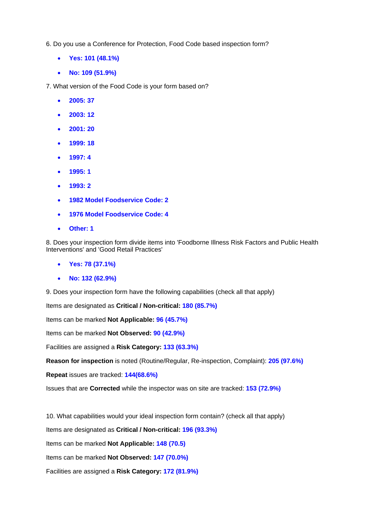6. Do you use a Conference for Protection, Food Code based inspection form?

- **Yes: 101 (48.1%)**
- **No: 109 (51.9%)**

7. What version of the Food Code is your form based on?

- **2005: 37**
- **2003: 12**
- **2001: 20**
- **1999: 18**
- **1997: 4**
- **1995: 1**
- **1993: 2**
- **1982 Model Foodservice Code: 2**
- **1976 Model Foodservice Code: 4**
- **Other: 1**

8. Does your inspection form divide items into 'Foodborne Illness Risk Factors and Public Health Interventions' and 'Good Retail Practices'

- **Yes: 78 (37.1%)**
- **No: 132 (62.9%)**

9. Does your inspection form have the following capabilities (check all that apply)

Items are designated as **Critical / Non-critical: 180 (85.7%)**

Items can be marked **Not Applicable: 96 (45.7%)**

Items can be marked **Not Observed: 90 (42.9%)**

Facilities are assigned a **Risk Category: 133 (63.3%)**

**Reason for inspection** is noted (Routine/Regular, Re-inspection, Complaint): **205 (97.6%)**

**Repeat** issues are tracked: **144(68.6%)**

Issues that are **Corrected** while the inspector was on site are tracked: **153 (72.9%)**

10. What capabilities would your ideal inspection form contain? (check all that apply)

Items are designated as **Critical / Non-critical: 196 (93.3%)**

Items can be marked **Not Applicable: 148 (70.5)**

Items can be marked **Not Observed: 147 (70.0%)**

Facilities are assigned a **Risk Category: 172 (81.9%)**